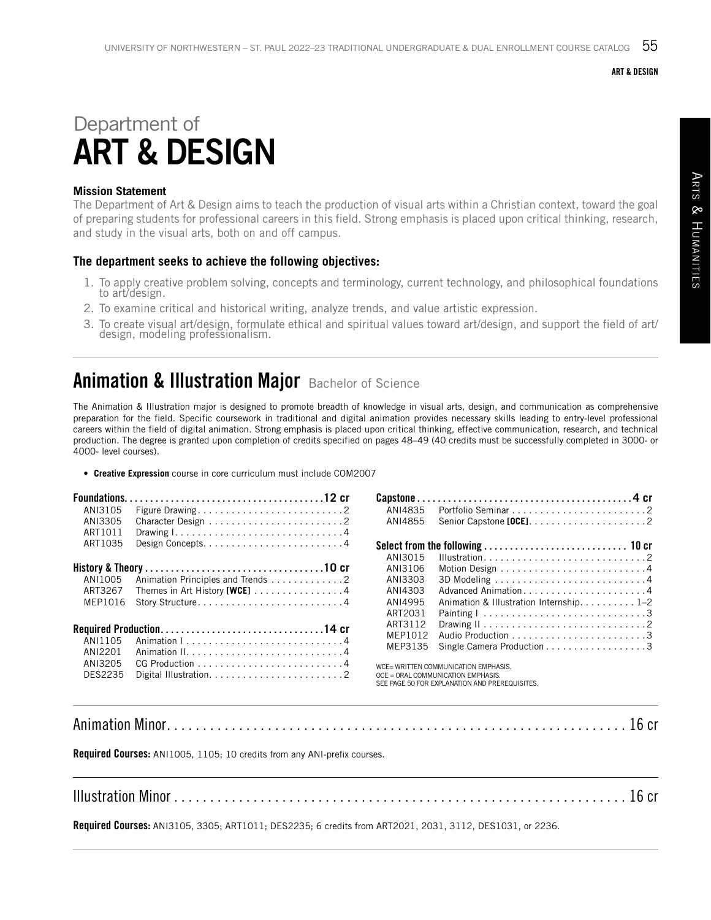#### ART & DESIGN

# Department of ART & DESIGN

### **Mission Statement**

The Department of Art & Design aims to teach the production of visual arts within a Christian context, toward the goal of preparing students for professional careers in this field. Strong emphasis is placed upon critical thinking, research, and study in the visual arts, both on and off campus.

### **The department seeks to achieve the following objectives:**

- 1. To apply creative problem solving, concepts and terminology, current technology, and philosophical foundations to art/design.
- 2. To examine critical and historical writing, analyze trends, and value artistic expression.
- 3. To create visual art/design, formulate ethical and spiritual values toward art/design, and support the field of art/ design, modeling professionalism.

## **Animation & Illustration Major Bachelor of Science**

The Animation & Illustration major is designed to promote breadth of knowledge in visual arts, design, and communication as comprehensive preparation for the field. Specific coursework in traditional and digital animation provides necessary skills leading to entry-level professional careers within the field of digital animation. Strong emphasis is placed upon critical thinking, effective communication, research, and technical production. The degree is granted upon completion of credits specified on pages 48–49 (40 credits must be successfully completed in 3000- or 4000- level courses).

• **Creative Expression** course in core curriculum must include COM2007

| ANI3105 |                                                                                | ANI4835                                                                    |                                                |  |
|---------|--------------------------------------------------------------------------------|----------------------------------------------------------------------------|------------------------------------------------|--|
| ANI3305 |                                                                                | ANI4855                                                                    |                                                |  |
| ART1011 | Drawing $1, \ldots, \ldots, \ldots, \ldots, \ldots, \ldots, \ldots, \ldots, 4$ |                                                                            |                                                |  |
| ART1035 |                                                                                |                                                                            |                                                |  |
|         |                                                                                | ANI3015                                                                    |                                                |  |
|         |                                                                                | ANI3106                                                                    |                                                |  |
| ANI1005 | Animation Principles and Trends 2                                              | ANI3303                                                                    |                                                |  |
| ART3267 | Themes in Art History [WCE] $\dots \dots \dots \dots \dots$                    | ANI4303                                                                    | Advanced Animation4                            |  |
| MEP1016 |                                                                                | ANI4995                                                                    | Animation & Illustration Internship. 1–2       |  |
|         |                                                                                | ART2031                                                                    |                                                |  |
|         |                                                                                | ART3112                                                                    |                                                |  |
| ANI1105 |                                                                                | MFP1012                                                                    |                                                |  |
| ANI2201 |                                                                                | MEP3135                                                                    | Single Camera Production 3                     |  |
| ANI3205 |                                                                                |                                                                            |                                                |  |
| DES2235 |                                                                                | WCE= WRITTEN COMMUNICATION EMPHASIS.<br>OCE = ORAL COMMUNICATION EMPHASIS. |                                                |  |
|         |                                                                                |                                                                            | SEE PAGE 50 FOR EXPLANATION AND PREREQUISITES. |  |

Animation Minor . . . . . . . . . . . . . . . . . . . . . . . . . . . . . . . . . . . . . . . . . . . . . . . . . . . . . . . . . . . . . . . . 16 cr

Required Courses: ANI1005, 1105; 10 credits from any ANI-prefix courses.

Illustration Minor . . . . . . . . . . . . . . . . . . . . . . . . . . . . . . . . . . . . . . . . . . . . . . . . . . . . . . . . . . . . . . . 16 cr

Required Courses: ANI3105, 3305; ART1011; DES2235; 6 credits from ART2021, 2031, 3112, DES1031, or 2236.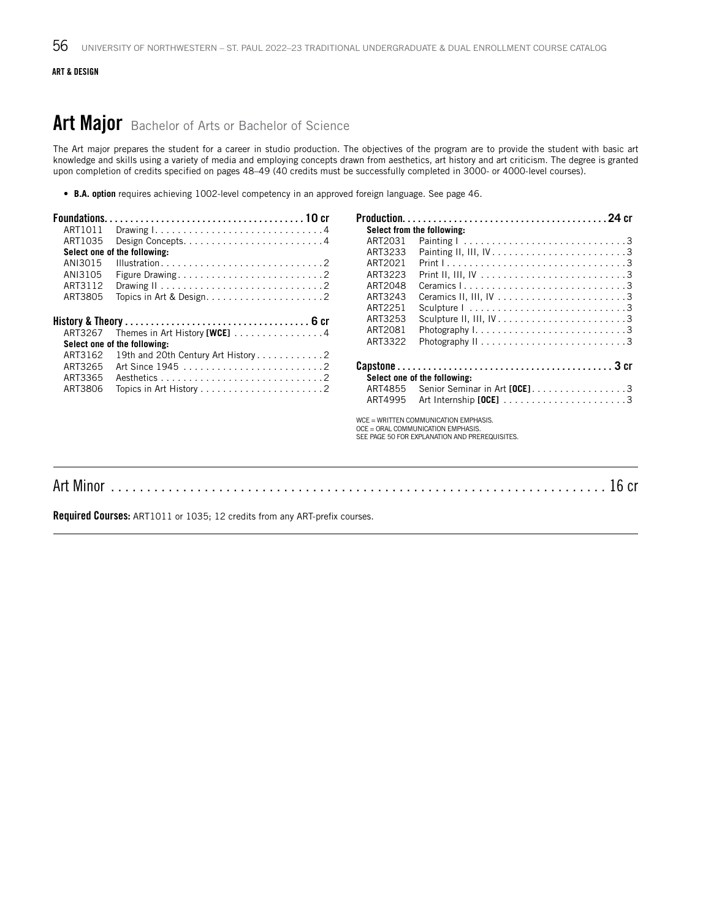#### ART & DESIGN

### Art Major Bachelor of Arts or Bachelor of Science

The Art major prepares the student for a career in studio production. The objectives of the program are to provide the student with basic art knowledge and skills using a variety of media and employing concepts drawn from aesthetics, art history and art criticism. The degree is granted upon completion of credits specified on pages 48–49 (40 credits must be successfully completed in 3000- or 4000-level courses).

• **B.A. option** requires achieving 1002-level competency in an approved foreign language. See page 46.

| ART1011                      |                                                             | Select from the following:                                                                                                    |                                                                                  |  |
|------------------------------|-------------------------------------------------------------|-------------------------------------------------------------------------------------------------------------------------------|----------------------------------------------------------------------------------|--|
| ART1035                      |                                                             | ART2031                                                                                                                       | Painting $1, \ldots, \ldots, \ldots, \ldots, \ldots, \ldots, \ldots, 3$          |  |
|                              | Select one of the following:                                | ART3233                                                                                                                       | Painting II, III, $IV \ldots \ldots \ldots \ldots \ldots \ldots \ldots \ldots 3$ |  |
| ANI3015                      |                                                             | ART2021                                                                                                                       |                                                                                  |  |
| ANI3105                      |                                                             | ART3223                                                                                                                       |                                                                                  |  |
| ART3112                      |                                                             | ART2048                                                                                                                       |                                                                                  |  |
| ART3805                      |                                                             | ART3243                                                                                                                       |                                                                                  |  |
|                              |                                                             | ART2251                                                                                                                       | Sculpture $1, \ldots, \ldots, \ldots, \ldots, \ldots, \ldots, \ldots, 3$         |  |
|                              |                                                             | ART3253                                                                                                                       |                                                                                  |  |
| ART3267                      | Themes in Art History [WCE] $\ldots \ldots \ldots \ldots$ . | ART2081                                                                                                                       |                                                                                  |  |
| Select one of the following: |                                                             | ART3322                                                                                                                       |                                                                                  |  |
| ART3162                      |                                                             |                                                                                                                               |                                                                                  |  |
| ART3265                      |                                                             |                                                                                                                               |                                                                                  |  |
| ART3365                      |                                                             |                                                                                                                               | Select one of the following:                                                     |  |
| ART3806                      |                                                             | ART4855                                                                                                                       | Senior Seminar in Art [OCE]3                                                     |  |
|                              |                                                             | ART4995                                                                                                                       |                                                                                  |  |
|                              |                                                             | WCE = WRITTEN COMMUNICATION EMPHASIS.<br>OCE = ORAL COMMUNICATION EMPHASIS.<br>SEE PAGE 50 FOR EXPLANATION AND PREREQUISITES. |                                                                                  |  |
|                              |                                                             |                                                                                                                               |                                                                                  |  |

Art Minor . . . . . . . . . . . . . . . . . . . . . . . . . . . . . . . . . . . . . . . . . . . . . . . . . . . . . . . . . . . . . . . . . . . . . 16 cr

Required Courses: ART1011 or 1035; 12 credits from any ART-prefix courses.